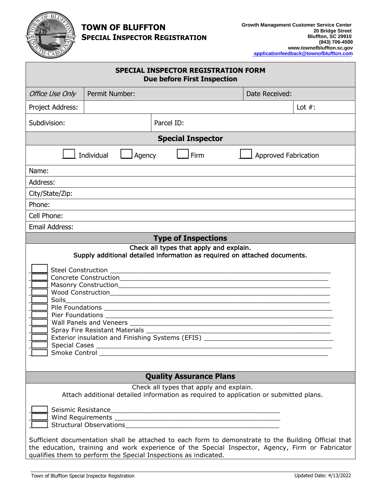

## **TOWN OF BLUFFTON SPECIAL INSPECTOR REGISTRATION**

| <b>SPECIAL INSPECTOR REGISTRATION FORM</b><br><b>Due before First Inspection</b>                                                                                                                                                                                                                                                                                                       |                |            |                |           |
|----------------------------------------------------------------------------------------------------------------------------------------------------------------------------------------------------------------------------------------------------------------------------------------------------------------------------------------------------------------------------------------|----------------|------------|----------------|-----------|
| Office Use Only                                                                                                                                                                                                                                                                                                                                                                        | Permit Number: |            | Date Received: |           |
| Project Address:                                                                                                                                                                                                                                                                                                                                                                       |                |            |                | Lot $#$ : |
| Subdivision:                                                                                                                                                                                                                                                                                                                                                                           |                | Parcel ID: |                |           |
| <b>Special Inspector</b>                                                                                                                                                                                                                                                                                                                                                               |                |            |                |           |
| <b>Firm</b><br>Individual<br>Agency<br><b>Approved Fabrication</b>                                                                                                                                                                                                                                                                                                                     |                |            |                |           |
| Name:                                                                                                                                                                                                                                                                                                                                                                                  |                |            |                |           |
| Address:                                                                                                                                                                                                                                                                                                                                                                               |                |            |                |           |
| City/State/Zip:                                                                                                                                                                                                                                                                                                                                                                        |                |            |                |           |
| Phone:                                                                                                                                                                                                                                                                                                                                                                                 |                |            |                |           |
| Cell Phone:                                                                                                                                                                                                                                                                                                                                                                            |                |            |                |           |
| <b>Email Address:</b>                                                                                                                                                                                                                                                                                                                                                                  |                |            |                |           |
| <b>Type of Inspections</b>                                                                                                                                                                                                                                                                                                                                                             |                |            |                |           |
| Check all types that apply and explain.<br>Supply additional detailed information as required on attached documents.<br><b>Soils</b><br><u> 1989 - Jan Barnett, fransk politiker (d. 1989)</u><br>Spray Fire Resistant Materials _<br>Exterior insulation and Finishing Systems (EFIS) ________<br>Smoke Control __________                                                            |                |            |                |           |
| <b>Quality Assurance Plans</b>                                                                                                                                                                                                                                                                                                                                                         |                |            |                |           |
| Check all types that apply and explain.<br>Attach additional detailed information as required to application or submitted plans.<br>Seismic Resistance<br><u> 2000 - Jan James James James James James James James James James James James James James James James James J</u><br>Sufficient documentation shall be attached to each form to demonstrate to the Building Official that |                |            |                |           |
| the education, training and work experience of the Special Inspector, Agency, Firm or Fabricator<br>qualifies them to perform the Special Inspections as indicated.                                                                                                                                                                                                                    |                |            |                |           |